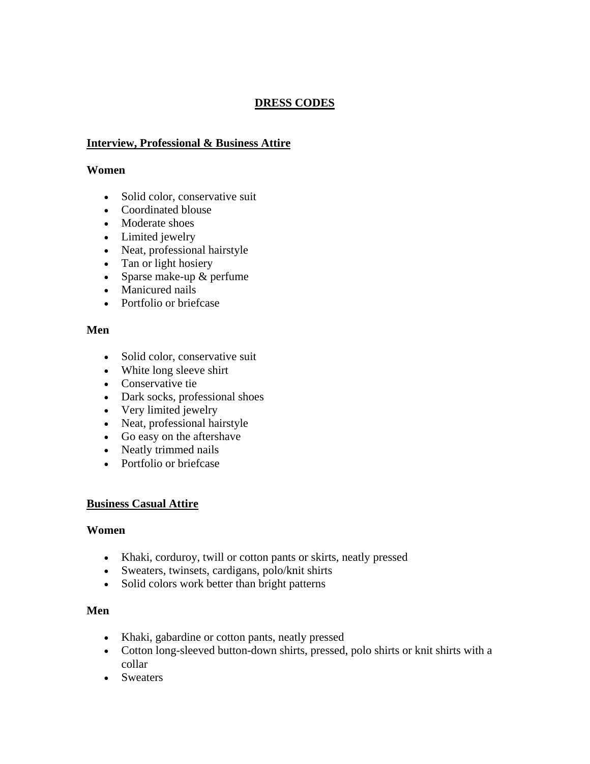# **DRESS CODES**

## **Interview, Professional & Business Attire**

#### **Women**

- Solid color, conservative suit
- Coordinated blouse
- Moderate shoes
- Limited jewelry
- Neat, professional hairstyle
- Tan or light hosiery
- Sparse make-up & perfume
- Manicured nails
- Portfolio or briefcase

#### **Men**

- Solid color, conservative suit
- White long sleeve shirt
- Conservative tie
- Dark socks, professional shoes
- Very limited jewelry
- Neat, professional hairstyle
- Go easy on the aftershave
- Neatly trimmed nails
- Portfolio or briefcase

#### **Business Casual Attire**

#### **Women**

- Khaki, corduroy, twill or cotton pants or skirts, neatly pressed
- Sweaters, twinsets, cardigans, polo/knit shirts
- Solid colors work better than bright patterns

### **Men**

- Khaki, gabardine or cotton pants, neatly pressed
- Cotton long-sleeved button-down shirts, pressed, polo shirts or knit shirts with a collar
- Sweaters